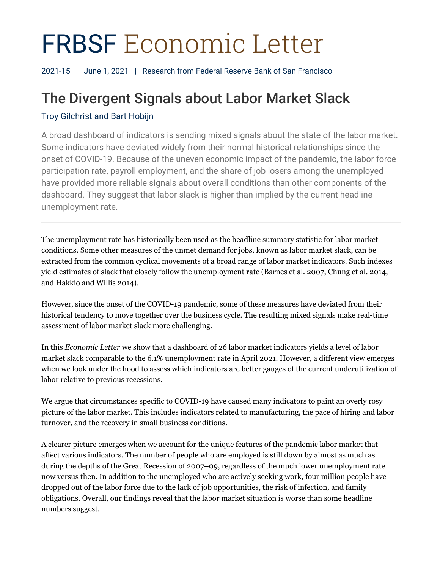# FRBSF Economic Letter

2021-15 | June 1, 2021 | Research from Federal Reserve Bank of San Francisco

# The Divergent Signals about Labor Market Slack

# Troy Gilchrist and Bart Hobijn

A broad dashboard of indicators is sending mixed signals about the state of the labor market. Some indicators have deviated widely from their normal historical relationships since the onset of COVID-19. Because of the uneven economic impact of the pandemic, the labor force participation rate, payroll employment, and the share of job losers among the unemployed have provided more reliable signals about overall conditions than other components of the dashboard. They suggest that labor slack is higher than implied by the current headline unemployment rate.

The unemployment rate has historically been used as the headline summary statistic for labor market conditions. Some other measures of the unmet demand for jobs, known as labor market slack, can be extracted from the common cyclical movements of a broad range of labor market indicators. Such indexes yield estimates of slack that closely follow the unemployment rate (Barnes et al. 2007, Chung et al. 2014, and Hakkio and Willis 2014).

However, since the onset of the COVID-19 pandemic, some of these measures have deviated from their historical tendency to move together over the business cycle. The resulting mixed signals make real-time assessment of labor market slack more challenging.

In this *Economic Letter* we show that a dashboard of 26 labor market indicators yields a level of labor market slack comparable to the 6.1% unemployment rate in April 2021. However, a different view emerges when we look under the hood to assess which indicators are better gauges of the current underutilization of labor relative to previous recessions.

We argue that circumstances specific to COVID-19 have caused many indicators to paint an overly rosy picture of the labor market. This includes indicators related to manufacturing, the pace of hiring and labor turnover, and the recovery in small business conditions.

A clearer picture emerges when we account for the unique features of the pandemic labor market that affect various indicators. The number of people who are employed is still down by almost as much as during the depths of the Great Recession of 2007–09, regardless of the much lower unemployment rate now versus then. In addition to the unemployed who are actively seeking work, four million people have dropped out of the labor force due to the lack of job opportunities, the risk of infection, and family obligations. Overall, our findings reveal that the labor market situation is worse than some headline numbers suggest.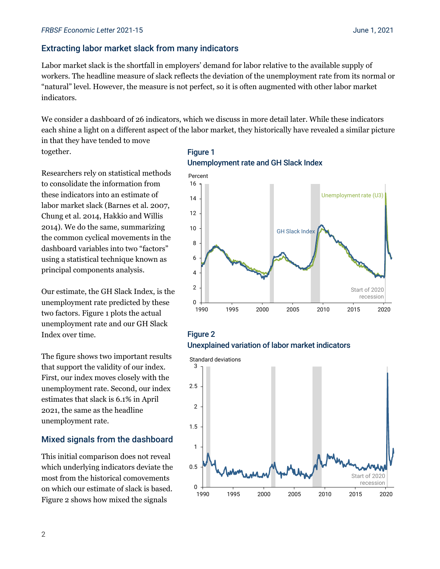# Extracting labor market slack from many indicators

Labor market slack is the shortfall in employers' demand for labor relative to the available supply of workers. The headline measure of slack reflects the deviation of the unemployment rate from its normal or "natural" level. However, the measure is not perfect, so it is often augmented with other labor market indicators.

We consider a dashboard of 26 indicators, which we discuss in more detail later. While these indicators each shine a light on a different aspect of the labor market, they historically have revealed a similar picture in that they have tended to move

together.

Researchers rely on statistical methods to consolidate the information from these indicators into an estimate of labor market slack (Barnes et al. 2007, Chung et al. 2014, Hakkio and Willis 2014). We do the same, summarizing the common cyclical movements in the dashboard variables into two "factors" using a statistical technique known as principal components analysis.

Our estimate, the GH Slack Index, is the unemployment rate predicted by these two factors. Figure 1 plots the actual unemployment rate and our GH Slack Index over time.

The figure shows two important results that support the validity of our index. First, our index moves closely with the unemployment rate. Second, our index estimates that slack is 6.1% in April 2021, the same as the headline unemployment rate.

#### Mixed signals from the dashboard

This initial comparison does not reveal which underlying indicators deviate the most from the historical comovements on which our estimate of slack is based. Figure 2 shows how mixed the signals

# Figure 1 Unemployment rate and GH Slack Index



# Figure 2 Unexplained variation of labor market indicators

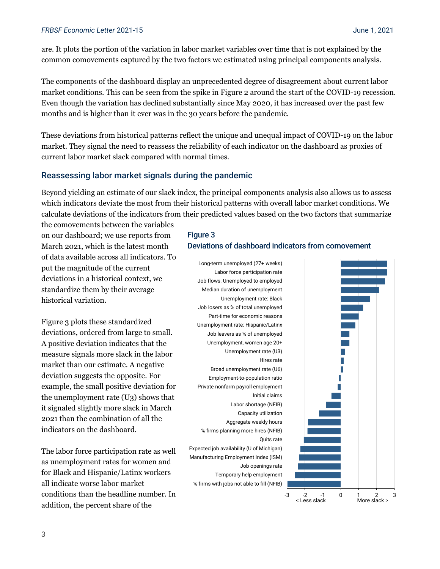are. It plots the portion of the variation in labor market variables over time that is not explained by the common comovements captured by the two factors we estimated using principal components analysis.

The components of the dashboard display an unprecedented degree of disagreement about current labor market conditions. This can be seen from the spike in Figure 2 around the start of the COVID-19 recession. Even though the variation has declined substantially since May 2020, it has increased over the past few months and is higher than it ever was in the 30 years before the pandemic.

These deviations from historical patterns reflect the unique and unequal impact of COVID-19 on the labor market. They signal the need to reassess the reliability of each indicator on the dashboard as proxies of current labor market slack compared with normal times.

# Reassessing labor market signals during the pandemic

Beyond yielding an estimate of our slack index, the principal components analysis also allows us to assess which indicators deviate the most from their historical patterns with overall labor market conditions. We calculate deviations of the indicators from their predicted values based on the two factors that summarize

the comovements between the variables on our dashboard; we use reports from March 2021, which is the latest month of data available across all indicators. To put the magnitude of the current deviations in a historical context, we standardize them by their average historical variation.

Figure 3 plots these standardized deviations, ordered from large to small. A positive deviation indicates that the measure signals more slack in the labor market than our estimate. A negative deviation suggests the opposite. For example, the small positive deviation for the unemployment rate (U3) shows that it signaled slightly more slack in March 2021 than the combination of all the indicators on the dashboard.

The labor force participation rate as well as unemployment rates for women and for Black and Hispanic/Latinx workers all indicate worse labor market conditions than the headline number. In addition, the percent share of the

# Figure 3 Deviations of dashboard indicators from comovement



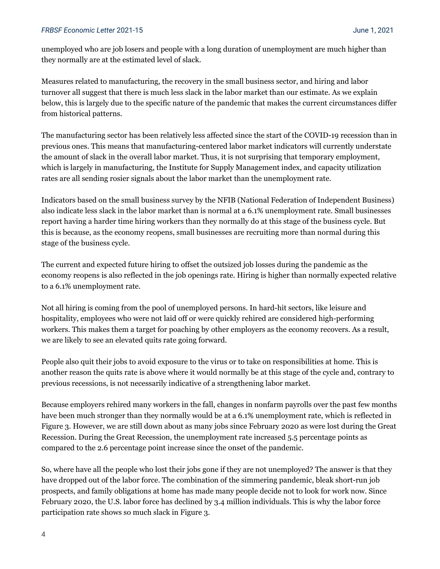#### *FRBSF Economic Letter* 2021-15 June 1, 2021

unemployed who are job losers and people with a long duration of unemployment are much higher than they normally are at the estimated level of slack.

Measures related to manufacturing, the recovery in the small business sector, and hiring and labor turnover all suggest that there is much less slack in the labor market than our estimate. As we explain below, this is largely due to the specific nature of the pandemic that makes the current circumstances differ from historical patterns.

The manufacturing sector has been relatively less affected since the start of the COVID-19 recession than in previous ones. This means that manufacturing-centered labor market indicators will currently understate the amount of slack in the overall labor market. Thus, it is not surprising that temporary employment, which is largely in manufacturing, the Institute for Supply Management index, and capacity utilization rates are all sending rosier signals about the labor market than the unemployment rate.

Indicators based on the small business survey by the NFIB (National Federation of Independent Business) also indicate less slack in the labor market than is normal at a 6.1% unemployment rate. Small businesses report having a harder time hiring workers than they normally do at this stage of the business cycle. But this is because, as the economy reopens, small businesses are recruiting more than normal during this stage of the business cycle.

The current and expected future hiring to offset the outsized job losses during the pandemic as the economy reopens is also reflected in the job openings rate. Hiring is higher than normally expected relative to a 6.1% unemployment rate.

Not all hiring is coming from the pool of unemployed persons. In hard-hit sectors, like leisure and hospitality, employees who were not laid off or were quickly rehired are considered high-performing workers. This makes them a target for poaching by other employers as the economy recovers. As a result, we are likely to see an elevated quits rate going forward.

People also quit their jobs to avoid exposure to the virus or to take on responsibilities at home. This is another reason the quits rate is above where it would normally be at this stage of the cycle and, contrary to previous recessions, is not necessarily indicative of a strengthening labor market.

Because employers rehired many workers in the fall, changes in nonfarm payrolls over the past few months have been much stronger than they normally would be at a 6.1% unemployment rate, which is reflected in Figure 3. However, we are still down about as many jobs since February 2020 as were lost during the Great Recession. During the Great Recession, the unemployment rate increased 5.5 percentage points as compared to the 2.6 percentage point increase since the onset of the pandemic.

So, where have all the people who lost their jobs gone if they are not unemployed? The answer is that they have dropped out of the labor force. The combination of the simmering pandemic, bleak short-run job prospects, and family obligations at home has made many people decide not to look for work now. Since February 2020, the U.S. labor force has declined by 3.4 million individuals. This is why the labor force participation rate shows so much slack in Figure 3.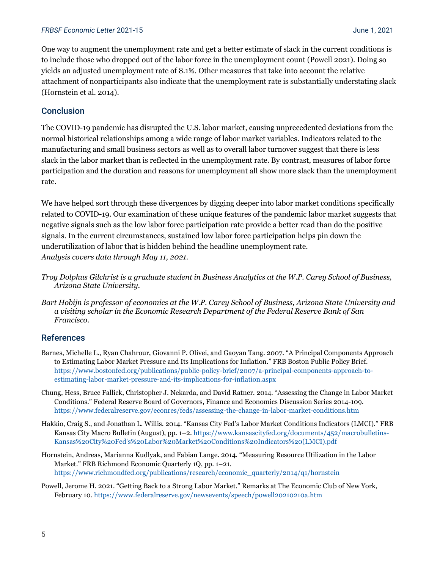#### *FRBSF Economic Letter* 2021-15 June 1, 2021

One way to augment the unemployment rate and get a better estimate of slack in the current conditions is to include those who dropped out of the labor force in the unemployment count (Powell 2021). Doing so yields an adjusted unemployment rate of 8.1%. Other measures that take into account the relative attachment of nonparticipants also indicate that the unemployment rate is substantially understating slack (Hornstein et al. 2014).

# **Conclusion**

The COVID-19 pandemic has disrupted the U.S. labor market, causing unprecedented deviations from the normal historical relationships among a wide range of labor market variables. Indicators related to the manufacturing and small business sectors as well as to overall labor turnover suggest that there is less slack in the labor market than is reflected in the unemployment rate. By contrast, measures of labor force participation and the duration and reasons for unemployment all show more slack than the unemployment rate.

We have helped sort through these divergences by digging deeper into labor market conditions specifically related to COVID-19. Our examination of these unique features of the pandemic labor market suggests that negative signals such as the low labor force participation rate provide a better read than do the positive signals. In the current circumstances, sustained low labor force participation helps pin down the underutilization of labor that is hidden behind the headline unemployment rate. *Analysis covers data through May 11, 2021.*

- *Troy Dolphus Gilchrist is a graduate student in Business Analytics at the W.P. Carey School of Business, Arizona State University.*
- *Bart Hobijn is professor of economics at the W.P. Carey School of Business, Arizona State University and a visiting scholar in the Economic Research Department of the Federal Reserve Bank of San Francisco.*

#### References

- Barnes, Michelle L., Ryan Chahrour, Giovanni P. Olivei, and Gaoyan Tang. 2007. "A Principal Components Approach to Estimating Labor Market Pressure and Its Implications for Inflation." FRB Boston Public Policy Brief. [https://www.bostonfed.org/publications/public-policy-brief/2007/a-principal-components-approach-to](https://www.bostonfed.org/publications/public-policy-brief/2007/a-principal-components-approach-to-estimating-labor-market-pressure-and-its-implications-for-inflation.aspx)[estimating-labor-market-pressure-and-its-implications-for-inflation.aspx](https://www.bostonfed.org/publications/public-policy-brief/2007/a-principal-components-approach-to-estimating-labor-market-pressure-and-its-implications-for-inflation.aspx)
- Chung, Hess, Bruce Fallick, Christopher J. Nekarda, and David Ratner. 2014. "Assessing the Change in Labor Market Conditions." Federal Reserve Board of Governors, Finance and Economics Discussion Series 2014-109. <https://www.federalreserve.gov/econres/feds/assessing-the-change-in-labor-market-conditions.htm>
- Hakkio, Craig S., and Jonathan L. Willis. 2014. "Kansas City Fed's Labor Market Conditions Indicators (LMCI)." FRB Kansas City Macro Bulletin (August), pp. 1–2[. https://www.kansascityfed.org/documents/452/macrobulletins-](https://www.kansascityfed.org/documents/452/macrobulletins-Kansas%20City%20Fed)[Kansas%20City%20Fed's%20Labor%20Market%20Conditions%20Indicators%20\(LMCI\).pdf](https://www.kansascityfed.org/documents/452/macrobulletins-Kansas%20City%20Fed)
- Hornstein, Andreas, Marianna Kudlyak, and Fabian Lange. 2014. "Measuring Resource Utilization in the Labor Market." FRB Richmond Economic Quarterly 1Q, pp. 1–21. [https://www.richmondfed.org/publications/research/economic\\_quarterly/2014/q1/hornstein](https://www.richmondfed.org/publications/research/economic_quarterly/2014/q1/hornstein)
- Powell, Jerome H. 2021. "Getting Back to a Strong Labor Market." Remarks at The Economic Club of New York, February 10.<https://www.federalreserve.gov/newsevents/speech/powell20210210a.htm>